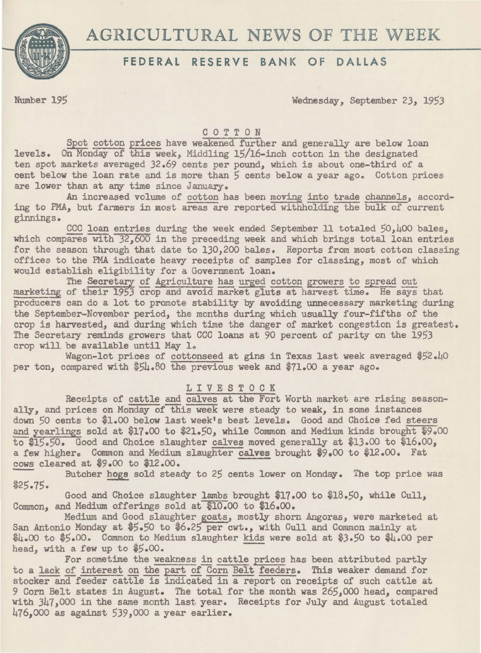



# **FEDERAL RESERVE BANK OF DALLAS**

Number 195 Wednesday, September 23, 1953

## C 0 T T 0 N

Spot cotton prices have weakened further and generally are below loan levels. On Monday of this week, Middling 15/16-inch cotton in the designated ten spot markets averaged 32.69 cents per pound, which is about one-third of a cent below the loan rate and is more than *5* cents below a year ago. Cotton prices are lower than at any time since January.

An increased volume of cotton has been moving into trade channels, according to *PMA,* but farmers in most areas are reported withholding the bulk of current ginnings.

CCC loan entries during the week ended September 11 totaled 50,400 bales. which compares with 32,600 in the preceding week and which brings total loan entries for the season through that date to 130,200 bales. Reports from most cotton classing offices to the PMA indicate heavy receipts of samples for classing, most of which would establish eligibility for a Government loan.

The Secretary of Agriculture has urged cotton growers to spread out marketing of their 1953 crop and avoid market gluts at harvest time. He says that producers can do a lot to promote stability by avoiding unnecessary marketing during the September-November period, the months during which usually four-fifths of the crop is harvested, and during which time the danger of market congestion is greatest. The Secretary reminds growers that CCC loans at 90 percent of parity on the 1953 crop will be available until May lo

Wagon-lot prices of cottonseed at gins in Texas last week averaged \$52.40 per ton, compared with \$54.80 the previous week and \$71.00 a year ago.

### L I V E S T 0 C K

Receipts of cattle and calves at the Fort Worth market are rising seasonally, and prices on Monday of this week were steady to weak, in some instances down 50 cents to \$1.00 below last week's best levels. Good and Choice fed steers and yearlings sold at \$17.00 to \$21.50, while Common and Medium kinds brought \$9.00 to \$15.50. Good and Choice slaughter calves moved generally at \$13.00 to \$16.oo, a few higher. Common and Medium slaughter calves brought  $$9.00$  to \$12.00. Fat cows cleared at  $$9.00$  to \$12.00.

Butcher hogs sold steady to 25 cents lower on Monday. The top price was \$25.75.

Good and Choice slaughter lambs brought \$17.00 to \$18.50, while Cull, Common, and Medium offerings sold at \$10.00 to \$16.00.

Medium and Good slaughter goats, mostly shorn Angoras, were marketed at San Antonio Monday at \$5.50 to \$6.25 per cwt., with Cull and Common mainly at san Antonio Honday at \$5.00 to \$0.25 per ewit, with our and common mainly at \$4.00 per \$4.00 per \$5.00. Common to Medium slaughter kids were sold at \$3.50 to \$4.00 per head, with a few up to \$5.00. head, with a few up to \$5.00.<br>For sometime the weakness in cattle prices has been attributed partly

to a lack of interest on the part of Corn Belt feeders. This weaker demand for stocker and feeder cattle is indicated in a report on receipts of such cattle at 9 Corn Belt states in August. The total for the month was 265,000 head, compared with 347,000 in the same month last year. Receipts for July and August totaled 476,000 as against 539,000 a year earlier.